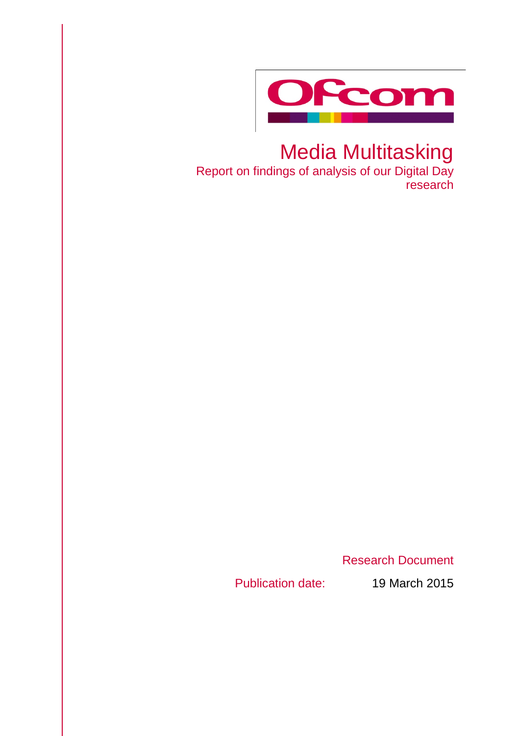

# Media Multitasking

Report on findings of analysis of our Digital Day research

Research Document

Publication date: 19 March 2015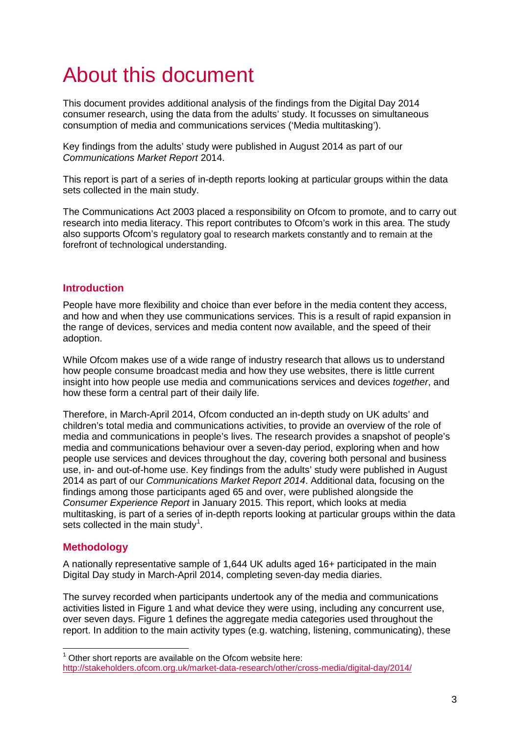# About this document

This document provides additional analysis of the findings from the Digital Day 2014 consumer research, using the data from the adults' study. It focusses on simultaneous consumption of media and communications services ('Media multitasking').

Key findings from the adults' study were published in August 2014 as part of our *Communications Market Report* 2014.

This report is part of a series of in-depth reports looking at particular groups within the data sets collected in the main study.

The Communications Act 2003 placed a responsibility on Ofcom to promote, and to carry out research into media literacy. This report contributes to Ofcom's work in this area. The study also supports Ofcom's regulatory goal to research markets constantly and to remain at the forefront of technological understanding.

# **Introduction**

People have more flexibility and choice than ever before in the media content they access, and how and when they use communications services. This is a result of rapid expansion in the range of devices, services and media content now available, and the speed of their adoption.

While Ofcom makes use of a wide range of industry research that allows us to understand how people consume broadcast media and how they use websites, there is little current insight into how people use media and communications services and devices *together*, and how these form a central part of their daily life.

Therefore, in March-April 2014, Ofcom conducted an in-depth study on UK adults' and children's total media and communications activities, to provide an overview of the role of media and communications in people's lives. The research provides a snapshot of people's media and communications behaviour over a seven-day period, exploring when and how people use services and devices throughout the day, covering both personal and business use, in- and out-of-home use. Key findings from the adults' study were published in August 2014 as part of our *Communications Market Report 2014*. Additional data, focusing on the findings among those participants aged 65 and over, were published alongside the *Consumer Experience Report* in January 2015. This report, which looks at media multitasking, is part of a series of in-depth reports looking at particular groups within the data sets collected in the main study<sup>[1](#page-2-0)</sup>.

# **Methodology**

A nationally representative sample of 1,644 UK adults aged 16+ participated in the main Digital Day study in March-April 2014, completing seven-day media diaries.

The survey recorded when participants undertook any of the media and communications activities listed in Figure 1 and what device they were using, including any concurrent use. over seven days. Figure 1 defines the aggregate media categories used throughout the report. In addition to the main activity types (e.g. watching, listening, communicating), these

<span id="page-2-0"></span> $1$  Other short reports are available on the Ofcom website here: <http://stakeholders.ofcom.org.uk/market-data-research/other/cross-media/digital-day/2014/>  $\overline{a}$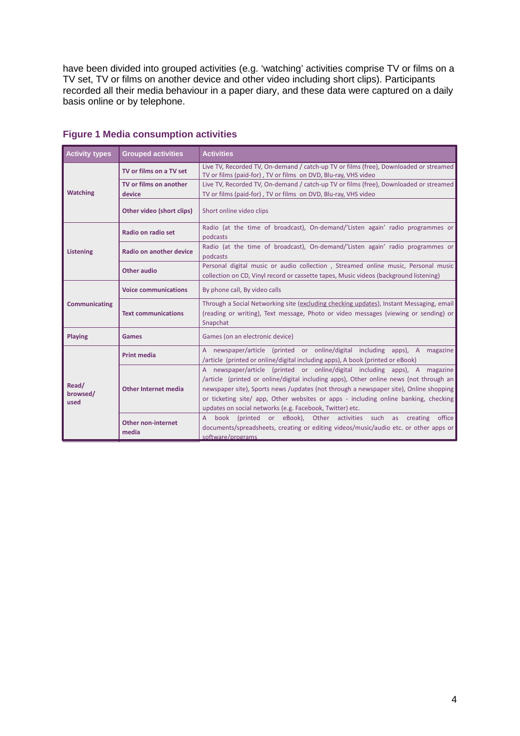have been divided into grouped activities (e.g. 'watching' activities comprise TV or films on a TV set, TV or films on another device and other video including short clips). Participants recorded all their media behaviour in a paper diary, and these data were captured on a daily basis online or by telephone.

| <b>Activity types</b>     | <b>Grouped activities</b>          | <b>Activities</b>                                                                                                                                                                                                                                                                                                                                                                                                |
|---------------------------|------------------------------------|------------------------------------------------------------------------------------------------------------------------------------------------------------------------------------------------------------------------------------------------------------------------------------------------------------------------------------------------------------------------------------------------------------------|
| <b>Watching</b>           | TV or films on a TV set            | Live TV, Recorded TV, On-demand / catch-up TV or films (free), Downloaded or streamed<br>TV or films (paid-for), TV or films on DVD, Blu-ray, VHS video                                                                                                                                                                                                                                                          |
|                           | TV or films on another<br>device   | Live TV, Recorded TV, On-demand / catch-up TV or films (free), Downloaded or streamed<br>TV or films (paid-for), TV or films on DVD, Blu-ray, VHS video                                                                                                                                                                                                                                                          |
|                           | Other video (short clips)          | Short online video clips                                                                                                                                                                                                                                                                                                                                                                                         |
| <b>Listening</b>          | Radio on radio set                 | Radio (at the time of broadcast), On-demand/'Listen again' radio programmes or<br>podcasts                                                                                                                                                                                                                                                                                                                       |
|                           | Radio on another device            | Radio (at the time of broadcast), On-demand/'Listen again' radio programmes or<br>podcasts                                                                                                                                                                                                                                                                                                                       |
|                           | <b>Other audio</b>                 | Personal digital music or audio collection, Streamed online music, Personal music<br>collection on CD, Vinyl record or cassette tapes, Music videos (background listening)                                                                                                                                                                                                                                       |
| <b>Communicating</b>      | <b>Voice communications</b>        | By phone call, By video calls                                                                                                                                                                                                                                                                                                                                                                                    |
|                           | <b>Text communications</b>         | Through a Social Networking site (excluding checking updates), Instant Messaging, email<br>(reading or writing), Text message, Photo or video messages (viewing or sending) or<br>Snapchat                                                                                                                                                                                                                       |
| <b>Playing</b>            | <b>Games</b>                       | Games (on an electronic device)                                                                                                                                                                                                                                                                                                                                                                                  |
| Read/<br>browsed/<br>used | <b>Print media</b>                 | A newspaper/article (printed or online/digital including apps), A magazine<br>/article (printed or online/digital including apps), A book (printed or eBook)                                                                                                                                                                                                                                                     |
|                           | <b>Other Internet media</b>        | A newspaper/article (printed or online/digital including apps), A magazine<br>/article (printed or online/digital including apps), Other online news (not through an<br>newspaper site), Sports news /updates (not through a newspaper site), Online shopping<br>or ticketing site/ app, Other websites or apps - including online banking, checking<br>updates on social networks (e.g. Facebook, Twitter) etc. |
|                           | <b>Other non-internet</b><br>media | book (printed or eBook), Other activities such as creating<br>$\mathsf{A}$<br>office<br>documents/spreadsheets, creating or editing videos/music/audio etc. or other apps or<br>software/programs                                                                                                                                                                                                                |

# **Figure 1 Media consumption activities**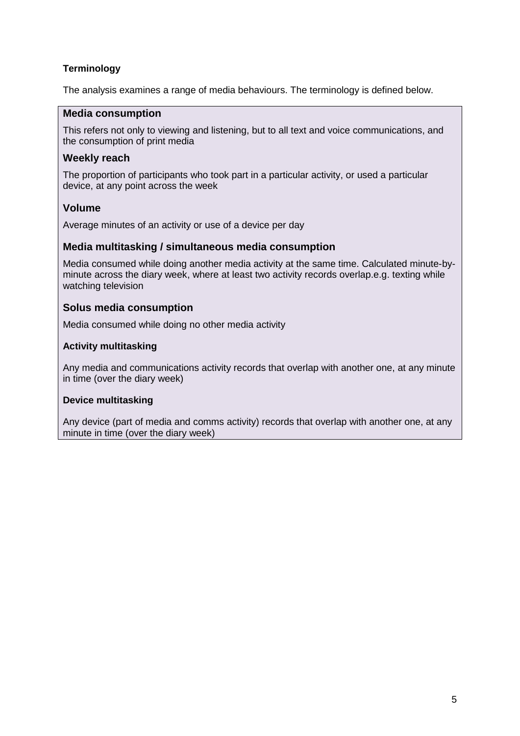# **Terminology**

The analysis examines a range of media behaviours. The terminology is defined below.

## **Media consumption**

This refers not only to viewing and listening, but to all text and voice communications, and the consumption of print media

## **Weekly reach**

The proportion of participants who took part in a particular activity, or used a particular device, at any point across the week

# **Volume**

Average minutes of an activity or use of a device per day

## **Media multitasking / simultaneous media consumption**

Media consumed while doing another media activity at the same time. Calculated minute-byminute across the diary week, where at least two activity records overlap.e.g. texting while watching television

# **Solus media consumption**

Media consumed while doing no other media activity

## **Activity multitasking**

Any media and communications activity records that overlap with another one, at any minute in time (over the diary week)

## **Device multitasking**

Any device (part of media and comms activity) records that overlap with another one, at any minute in time (over the diary week)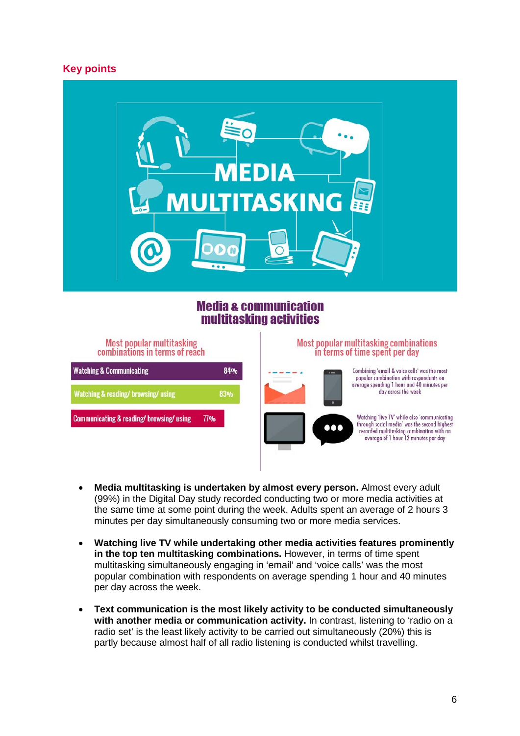# **Key points**



# **Media & communication** multitasking activities



- **Media multitasking is undertaken by almost every person.** Almost every adult (99%) in the Digital Day study recorded conducting two or more media activities at the same time at some point during the week. Adults spent an average of 2 hours 3 minutes per day simultaneously consuming two or more media services.
- **Watching live TV while undertaking other media activities features prominently in the top ten multitasking combinations.** However, in terms of time spent multitasking simultaneously engaging in 'email' and 'voice calls' was the most popular combination with respondents on average spending 1 hour and 40 minutes per day across the week.
- **Text communication is the most likely activity to be conducted simultaneously with another media or communication activity.** In contrast, listening to 'radio on a radio set' is the least likely activity to be carried out simultaneously (20%) this is partly because almost half of all radio listening is conducted whilst travelling.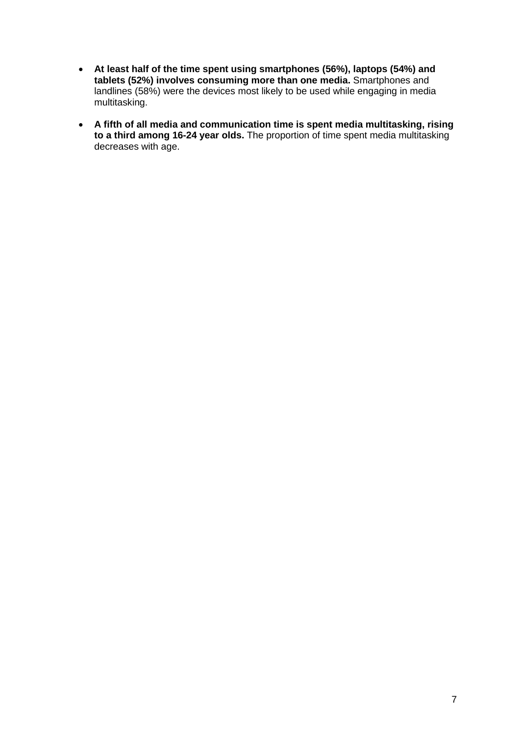- **At least half of the time spent using smartphones (56%), laptops (54%) and tablets (52%) involves consuming more than one media.** Smartphones and landlines (58%) were the devices most likely to be used while engaging in media multitasking.
- **A fifth of all media and communication time is spent media multitasking, rising to a third among 16-24 year olds.** The proportion of time spent media multitasking decreases with age.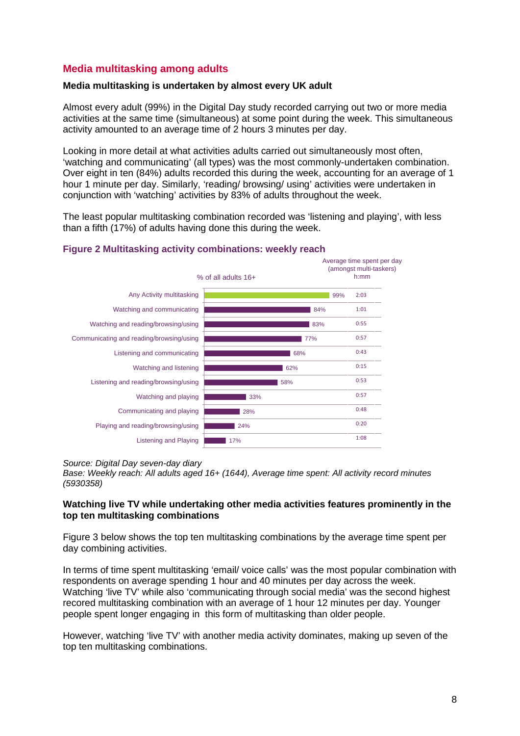# **Media multitasking among adults**

## **Media multitasking is undertaken by almost every UK adult**

Almost every adult (99%) in the Digital Day study recorded carrying out two or more media activities at the same time (simultaneous) at some point during the week. This simultaneous activity amounted to an average time of 2 hours 3 minutes per day.

Looking in more detail at what activities adults carried out simultaneously most often, 'watching and communicating' (all types) was the most commonly-undertaken combination. Over eight in ten (84%) adults recorded this during the week, accounting for an average of 1 hour 1 minute per day. Similarly, 'reading/ browsing/ using' activities were undertaken in conjunction with 'watching' activities by 83% of adults throughout the week.

The least popular multitasking combination recorded was 'listening and playing', with less than a fifth (17%) of adults having done this during the week.



#### **Figure 2 Multitasking activity combinations: weekly reach**

#### *Source: Digital Day seven-day diary*

*Base: Weekly reach: All adults aged 16+ (1644), Average time spent: All activity record minutes (5930358)*

## **Watching live TV while undertaking other media activities features prominently in the top ten multitasking combinations**

Figure 3 below shows the top ten multitasking combinations by the average time spent per day combining activities.

In terms of time spent multitasking 'email/ voice calls' was the most popular combination with respondents on average spending 1 hour and 40 minutes per day across the week. Watching 'live TV' while also 'communicating through social media' was the second highest recored multitasking combination with an average of 1 hour 12 minutes per day. Younger people spent longer engaging in this form of multitasking than older people.

However, watching 'live TV' with another media activity dominates, making up seven of the top ten multitasking combinations.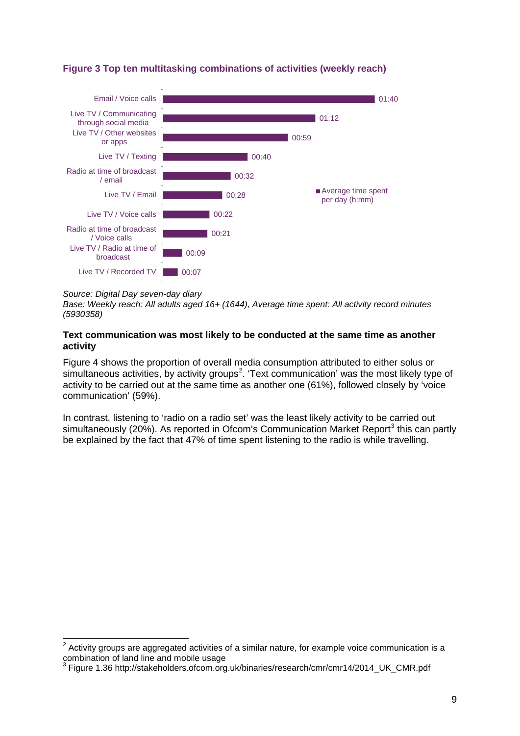

# **Figure 3 Top ten multitasking combinations of activities (weekly reach)**

#### *Source: Digital Day seven-day diary*

 $\overline{a}$ 

*Base: Weekly reach: All adults aged 16+ (1644), Average time spent: All activity record minutes (5930358)*

#### **Text communication was most likely to be conducted at the same time as another activity**

Figure 4 shows the proportion of overall media consumption attributed to either solus or simultaneous activities, by activity groups<sup>[2](#page-8-0)</sup>. 'Text communication' was the most likely type of activity to be carried out at the same time as another one (61%), followed closely by 'voice communication' (59%).

In contrast, listening to 'radio on a radio set' was the least likely activity to be carried out simultaneously (20%). As reported in Ofcom's Communication Market Report<sup>[3](#page-8-1)</sup> this can partly be explained by the fact that 47% of time spent listening to the radio is while travelling.

<span id="page-8-0"></span> $2$  Activity groups are aggregated activities of a similar nature, for example voice communication is a combination of land line and mobile usage

<span id="page-8-1"></span><sup>3</sup> Figure 1.36 http://stakeholders.ofcom.org.uk/binaries/research/cmr/cmr14/2014\_UK\_CMR.pdf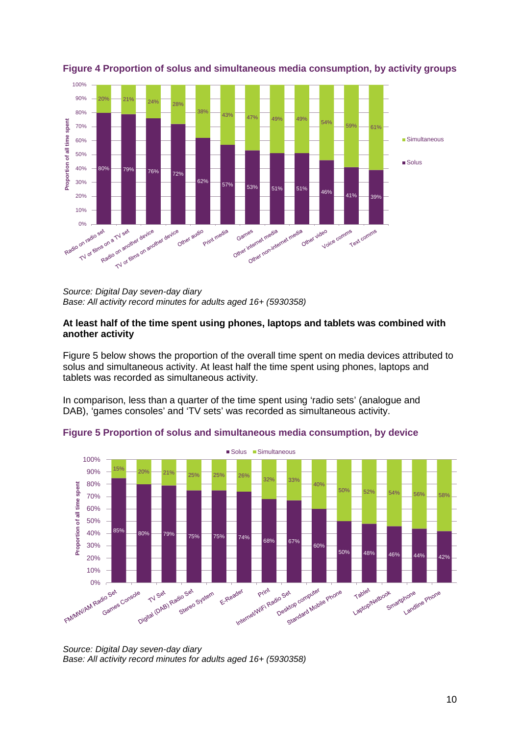

## **Figure 4 Proportion of solus and simultaneous media consumption, by activity groups**

*Source: Digital Day seven-day diary Base: All activity record minutes for adults aged 16+ (5930358)*

#### **At least half of the time spent using phones, laptops and tablets was combined with another activity**

Figure 5 below shows the proportion of the overall time spent on media devices attributed to solus and simultaneous activity. At least half the time spent using phones, laptops and tablets was recorded as simultaneous activity.

In comparison, less than a quarter of the time spent using 'radio sets' (analogue and DAB), 'games consoles' and 'TV sets' was recorded as simultaneous activity.



**Figure 5 Proportion of solus and simultaneous media consumption, by device**

*Source: Digital Day seven-day diary Base: All activity record minutes for adults aged 16+ (5930358)*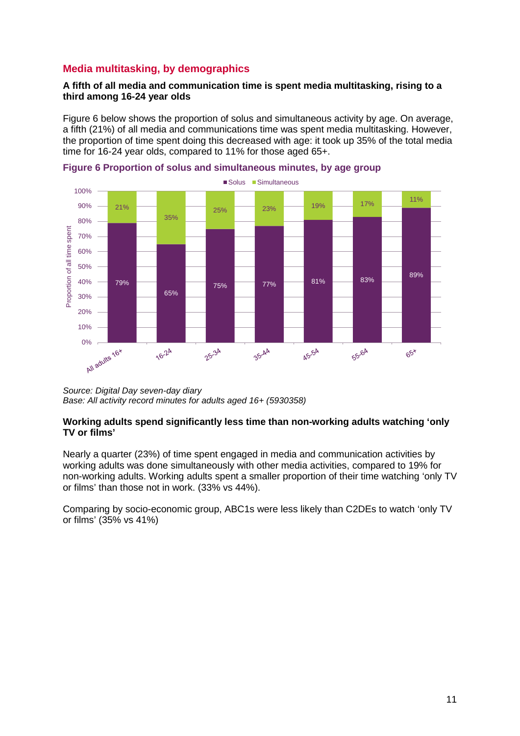# **Media multitasking, by demographics**

## **A fifth of all media and communication time is spent media multitasking, rising to a third among 16-24 year olds**

Figure 6 below shows the proportion of solus and simultaneous activity by age. On average, a fifth (21%) of all media and communications time was spent media multitasking. However, the proportion of time spent doing this decreased with age: it took up 35% of the total media time for 16-24 year olds, compared to 11% for those aged 65+.





*Source: Digital Day seven-day diary Base: All activity record minutes for adults aged 16+ (5930358)*

#### **Working adults spend significantly less time than non-working adults watching 'only TV or films'**

Nearly a quarter (23%) of time spent engaged in media and communication activities by working adults was done simultaneously with other media activities, compared to 19% for non-working adults. Working adults spent a smaller proportion of their time watching 'only TV or films' than those not in work. (33% vs 44%).

Comparing by socio-economic group, ABC1s were less likely than C2DEs to watch 'only TV or films' (35% vs 41%)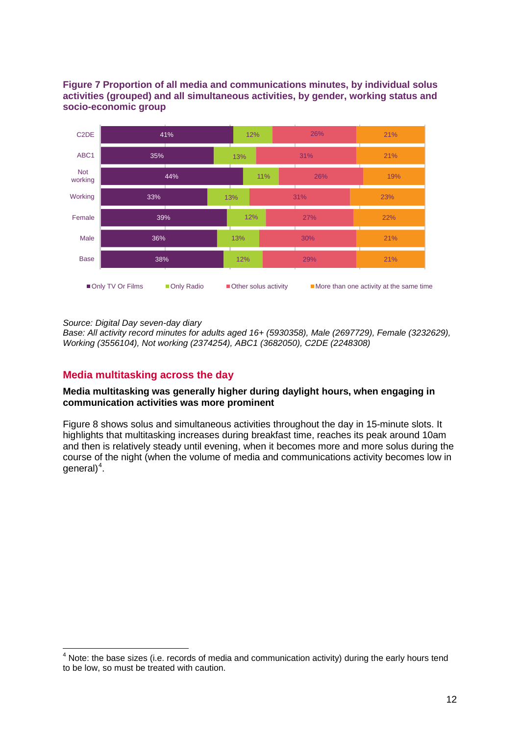## **Figure 7 Proportion of all media and communications minutes, by individual solus activities (grouped) and all simultaneous activities, by gender, working status and socio-economic group**



*Source: Digital Day seven-day diary*

*Base: All activity record minutes for adults aged 16+ (5930358), Male (2697729), Female (3232629), Working (3556104), Not working (2374254), ABC1 (3682050), C2DE (2248308)*

# **Media multitasking across the day**

#### **Media multitasking was generally higher during daylight hours, when engaging in communication activities was more prominent**

Figure 8 shows solus and simultaneous activities throughout the day in 15-minute slots. It highlights that multitasking increases during breakfast time, reaches its peak around 10am and then is relatively steady until evening, when it becomes more and more solus during the course of the night (when the volume of media and communications activity becomes low in general $)^{4}$  $)^{4}$  $)^{4}$ .

<span id="page-11-0"></span> $<sup>4</sup>$  Note: the base sizes (i.e. records of media and communication activity) during the early hours tend</sup> to be low, so must be treated with caution.  $\overline{a}$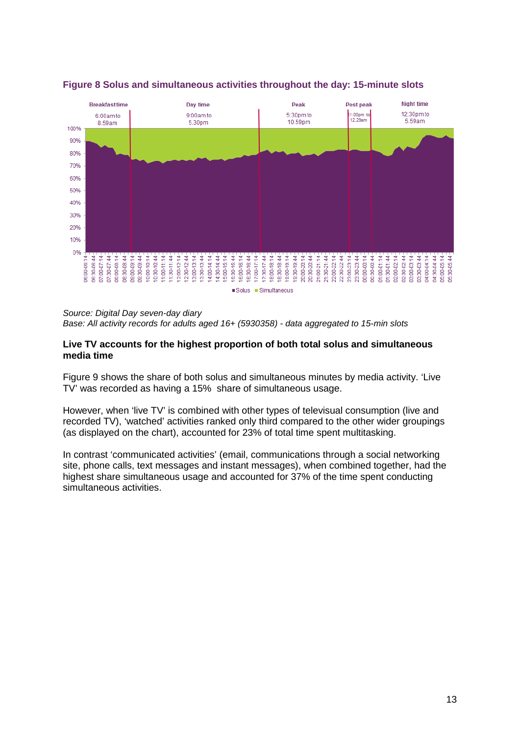

# **Figure 8 Solus and simultaneous activities throughout the day: 15-minute slots**

*Source: Digital Day seven-day diary Base: All activity records for adults aged 16+ (5930358) - data aggregated to 15-min slots*

#### **Live TV accounts for the highest proportion of both total solus and simultaneous media time**

Figure 9 shows the share of both solus and simultaneous minutes by media activity. 'Live TV' was recorded as having a 15% share of simultaneous usage.

However, when 'live TV' is combined with other types of televisual consumption (live and recorded TV), 'watched' activities ranked only third compared to the other wider groupings (as displayed on the chart), accounted for 23% of total time spent multitasking.

In contrast 'communicated activities' (email, communications through a social networking site, phone calls, text messages and instant messages), when combined together, had the highest share simultaneous usage and accounted for 37% of the time spent conducting simultaneous activities.